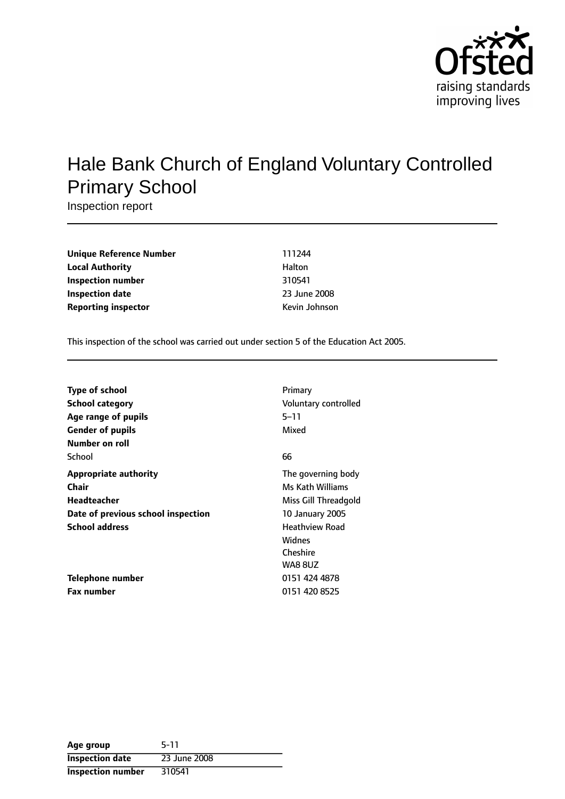

# Hale Bank Church of England Voluntary Controlled Primary School

Inspection report

| 111244        |
|---------------|
| Halton        |
| 310541        |
| 23 June 2008  |
| Kevin Johnson |
|               |

This inspection of the school was carried out under section 5 of the Education Act 2005.

| <b>Type of school</b><br>School category<br>Age range of pupils<br><b>Gender of pupils</b> | Primary<br>Voluntary controlled<br>5–11<br>Mixed       |
|--------------------------------------------------------------------------------------------|--------------------------------------------------------|
| Number on roll<br>School                                                                   | 66                                                     |
| <b>Appropriate authority</b><br>Chair                                                      | The governing body<br>Ms Kath Williams                 |
| Headteacher                                                                                | Miss Gill Threadgold                                   |
| Date of previous school inspection                                                         | <b>10 January 2005</b>                                 |
| <b>School address</b>                                                                      | <b>Heathview Road</b><br>Widnes<br>Cheshire<br>WA8 8UZ |
| Telephone number                                                                           | 0151 424 4878                                          |
| <b>Fax number</b>                                                                          | 0151 420 8525                                          |

| Age group                | 5-11         |
|--------------------------|--------------|
| <b>Inspection date</b>   | 23 June 2008 |
| <b>Inspection number</b> | 310541       |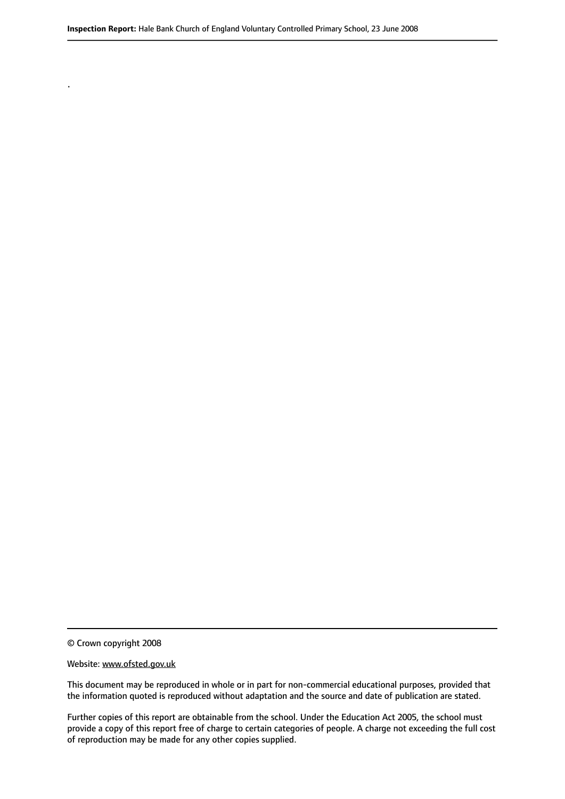© Crown copyright 2008

.

#### Website: www.ofsted.gov.uk

This document may be reproduced in whole or in part for non-commercial educational purposes, provided that the information quoted is reproduced without adaptation and the source and date of publication are stated.

Further copies of this report are obtainable from the school. Under the Education Act 2005, the school must provide a copy of this report free of charge to certain categories of people. A charge not exceeding the full cost of reproduction may be made for any other copies supplied.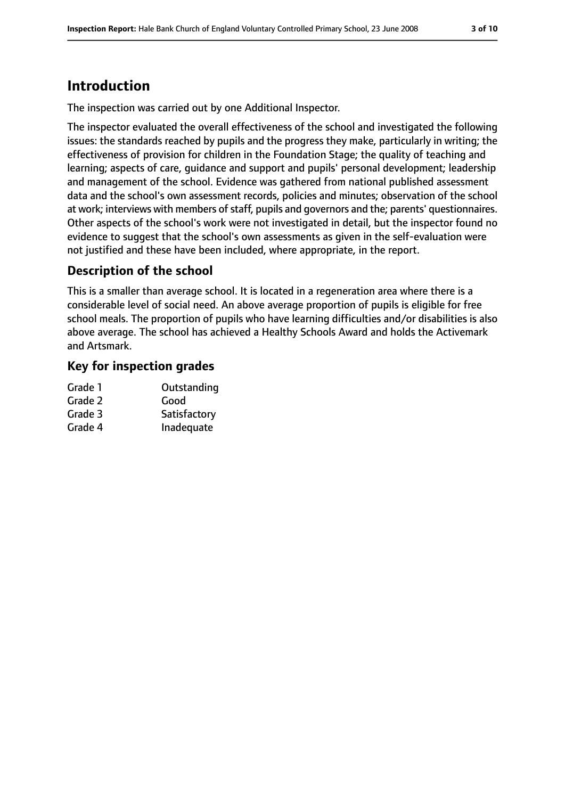# **Introduction**

The inspection was carried out by one Additional Inspector.

The inspector evaluated the overall effectiveness of the school and investigated the following issues: the standards reached by pupils and the progress they make, particularly in writing; the effectiveness of provision for children in the Foundation Stage; the quality of teaching and learning; aspects of care, guidance and support and pupils' personal development; leadership and management of the school. Evidence was gathered from national published assessment data and the school's own assessment records, policies and minutes; observation of the school at work; interviews with members of staff, pupils and governors and the; parents' questionnaires. Other aspects of the school's work were not investigated in detail, but the inspector found no evidence to suggest that the school's own assessments as given in the self-evaluation were not justified and these have been included, where appropriate, in the report.

## **Description of the school**

This is a smaller than average school. It is located in a regeneration area where there is a considerable level of social need. An above average proportion of pupils is eligible for free school meals. The proportion of pupils who have learning difficulties and/or disabilities is also above average. The school has achieved a Healthy Schools Award and holds the Activemark and Artsmark.

### **Key for inspection grades**

| Outstanding  |
|--------------|
| Good         |
| Satisfactory |
| Inadequate   |
|              |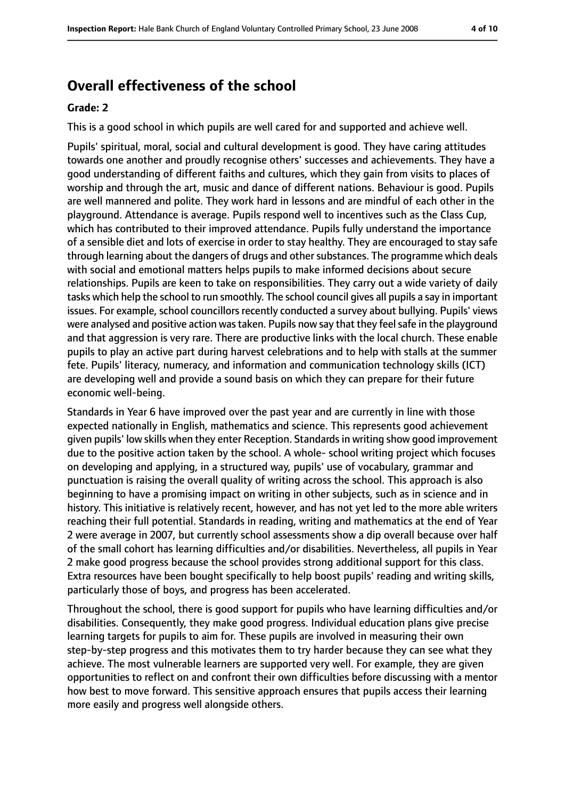# **Overall effectiveness of the school**

#### **Grade: 2**

This is a good school in which pupils are well cared for and supported and achieve well.

Pupils' spiritual, moral, social and cultural development is good. They have caring attitudes towards one another and proudly recognise others' successes and achievements. They have a good understanding of different faiths and cultures, which they gain from visits to places of worship and through the art, music and dance of different nations. Behaviour is good. Pupils are well mannered and polite. They work hard in lessons and are mindful of each other in the playground. Attendance is average. Pupils respond well to incentives such as the Class Cup, which has contributed to their improved attendance. Pupils fully understand the importance of a sensible diet and lots of exercise in order to stay healthy. They are encouraged to stay safe through learning about the dangers of drugs and othersubstances. The programme which deals with social and emotional matters helps pupils to make informed decisions about secure relationships. Pupils are keen to take on responsibilities. They carry out a wide variety of daily tasks which help the school to run smoothly. The school council gives all pupils a say in important issues. For example, school councillors recently conducted a survey about bullying. Pupils' views were analysed and positive action was taken. Pupils now say that they feel safe in the playground and that aggression is very rare. There are productive links with the local church. These enable pupils to play an active part during harvest celebrations and to help with stalls at the summer fete. Pupils' literacy, numeracy, and information and communication technology skills (ICT) are developing well and provide a sound basis on which they can prepare for their future economic well-being.

Standards in Year 6 have improved over the past year and are currently in line with those expected nationally in English, mathematics and science. This represents good achievement given pupils' low skills when they enter Reception. Standardsin writing show good improvement due to the positive action taken by the school. A whole- school writing project which focuses on developing and applying, in a structured way, pupils' use of vocabulary, grammar and punctuation is raising the overall quality of writing across the school. This approach is also beginning to have a promising impact on writing in other subjects, such as in science and in history. This initiative is relatively recent, however, and has not yet led to the more able writers reaching their full potential. Standards in reading, writing and mathematics at the end of Year 2 were average in 2007, but currently school assessments show a dip overall because over half of the small cohort has learning difficulties and/or disabilities. Nevertheless, all pupils in Year 2 make good progress because the school provides strong additional support for this class. Extra resources have been bought specifically to help boost pupils' reading and writing skills, particularly those of boys, and progress has been accelerated.

Throughout the school, there is good support for pupils who have learning difficulties and/or disabilities. Consequently, they make good progress. Individual education plans give precise learning targets for pupils to aim for. These pupils are involved in measuring their own step-by-step progress and this motivates them to try harder because they can see what they achieve. The most vulnerable learners are supported very well. For example, they are given opportunities to reflect on and confront their own difficulties before discussing with a mentor how best to move forward. This sensitive approach ensures that pupils access their learning more easily and progress well alongside others.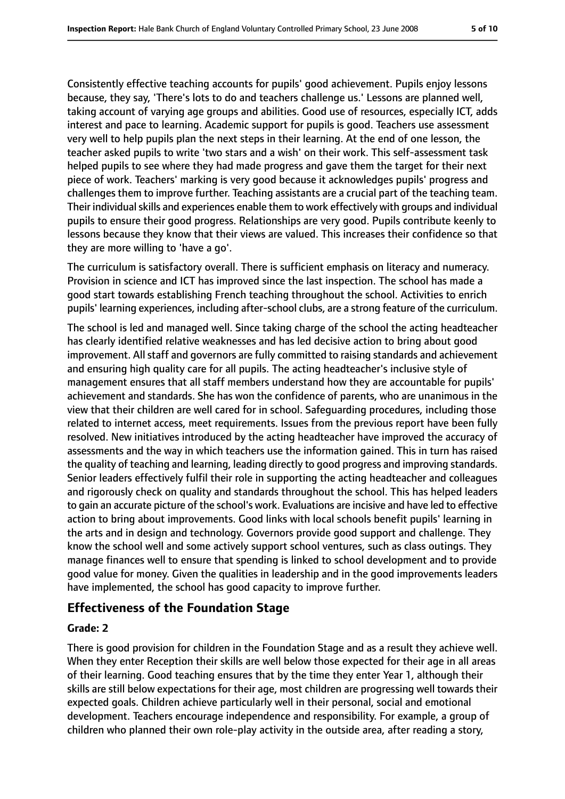Consistently effective teaching accounts for pupils' good achievement. Pupils enjoy lessons because, they say, 'There's lots to do and teachers challenge us.' Lessons are planned well, taking account of varying age groups and abilities. Good use of resources, especially ICT, adds interest and pace to learning. Academic support for pupils is good. Teachers use assessment very well to help pupils plan the next steps in their learning. At the end of one lesson, the teacher asked pupils to write 'two stars and a wish' on their work. This self-assessment task helped pupils to see where they had made progress and gave them the target for their next piece of work. Teachers' marking is very good because it acknowledges pupils' progress and challenges them to improve further. Teaching assistants are a crucial part of the teaching team. Their individual skills and experiences enable them to work effectively with groups and individual pupils to ensure their good progress. Relationships are very good. Pupils contribute keenly to lessons because they know that their views are valued. This increases their confidence so that they are more willing to 'have a go'.

The curriculum is satisfactory overall. There is sufficient emphasis on literacy and numeracy. Provision in science and ICT has improved since the last inspection. The school has made a good start towards establishing French teaching throughout the school. Activities to enrich pupils' learning experiences, including after-school clubs, are a strong feature of the curriculum.

The school is led and managed well. Since taking charge of the school the acting headteacher has clearly identified relative weaknesses and has led decisive action to bring about good improvement. All staff and governors are fully committed to raising standards and achievement and ensuring high quality care for all pupils. The acting headteacher's inclusive style of management ensures that all staff members understand how they are accountable for pupils' achievement and standards. She has won the confidence of parents, who are unanimous in the view that their children are well cared for in school. Safeguarding procedures, including those related to internet access, meet requirements. Issues from the previous report have been fully resolved. New initiatives introduced by the acting headteacher have improved the accuracy of assessments and the way in which teachers use the information gained. This in turn has raised the quality of teaching and learning, leading directly to good progress and improving standards. Senior leaders effectively fulfil their role in supporting the acting headteacher and colleagues and rigorously check on quality and standards throughout the school. This has helped leaders to gain an accurate picture of the school's work. Evaluations are incisive and have led to effective action to bring about improvements. Good links with local schools benefit pupils' learning in the arts and in design and technology. Governors provide good support and challenge. They know the school well and some actively support school ventures, such as class outings. They manage finances well to ensure that spending is linked to school development and to provide good value for money. Given the qualities in leadership and in the good improvements leaders have implemented, the school has good capacity to improve further.

### **Effectiveness of the Foundation Stage**

#### **Grade: 2**

There is good provision for children in the Foundation Stage and as a result they achieve well. When they enter Reception their skills are well below those expected for their age in all areas of their learning. Good teaching ensures that by the time they enter Year 1, although their skills are still below expectations for their age, most children are progressing well towards their expected goals. Children achieve particularly well in their personal, social and emotional development. Teachers encourage independence and responsibility. For example, a group of children who planned their own role-play activity in the outside area, after reading a story,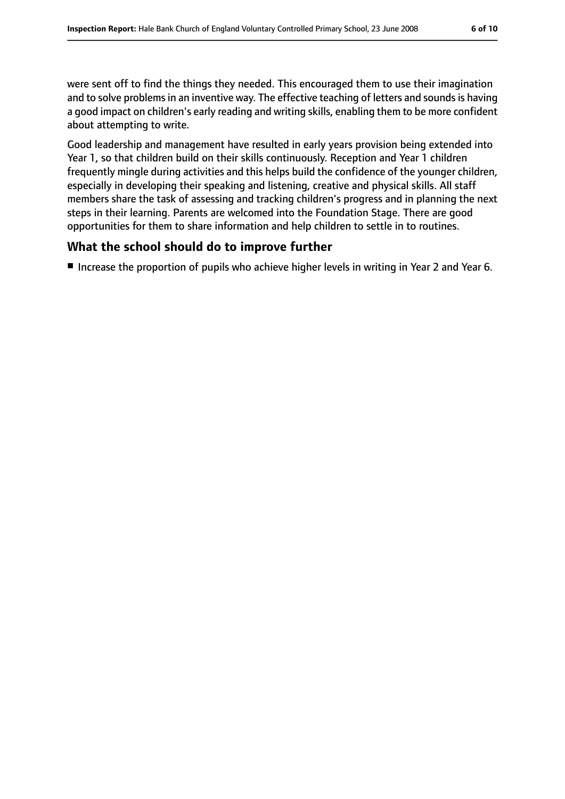were sent off to find the things they needed. This encouraged them to use their imagination and to solve problems in an inventive way. The effective teaching of letters and sounds is having a good impact on children's early reading and writing skills, enabling them to be more confident about attempting to write.

Good leadership and management have resulted in early years provision being extended into Year 1, so that children build on their skills continuously. Reception and Year 1 children frequently mingle during activities and this helps build the confidence of the younger children, especially in developing their speaking and listening, creative and physical skills. All staff members share the task of assessing and tracking children's progress and in planning the next steps in their learning. Parents are welcomed into the Foundation Stage. There are good opportunities for them to share information and help children to settle in to routines.

### **What the school should do to improve further**

■ Increase the proportion of pupils who achieve higher levels in writing in Year 2 and Year 6.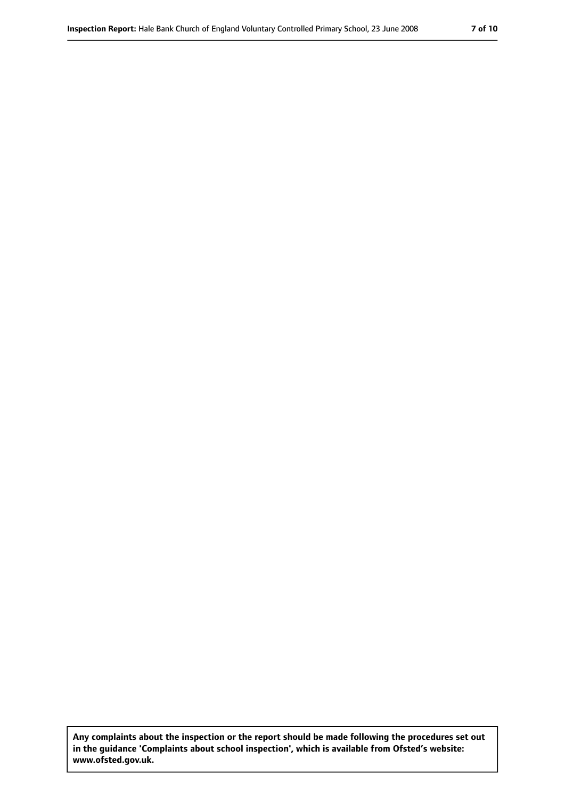**Any complaints about the inspection or the report should be made following the procedures set out in the guidance 'Complaints about school inspection', which is available from Ofsted's website: www.ofsted.gov.uk.**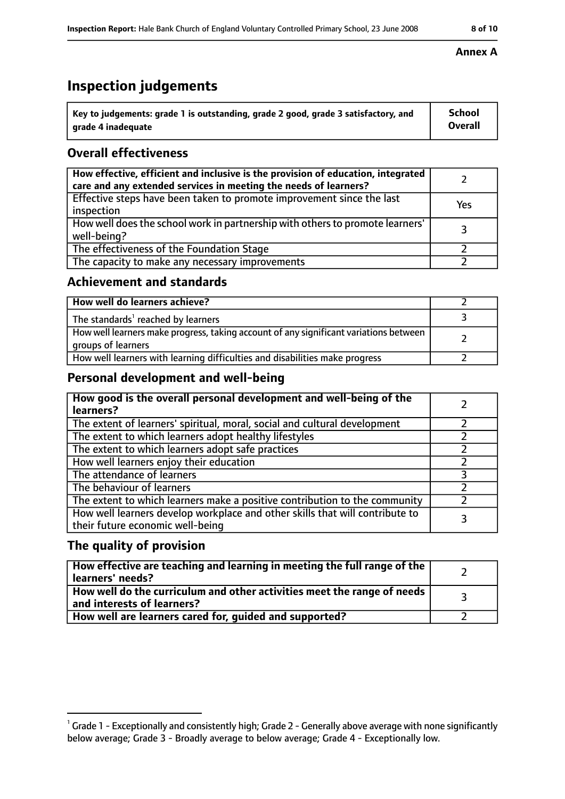# **Inspection judgements**

| $^{\backprime}$ Key to judgements: grade 1 is outstanding, grade 2 good, grade 3 satisfactory, and | School         |
|----------------------------------------------------------------------------------------------------|----------------|
| arade 4 inadequate                                                                                 | <b>Overall</b> |

### **Overall effectiveness**

| How effective, efficient and inclusive is the provision of education, integrated<br>care and any extended services in meeting the needs of learners? |     |
|------------------------------------------------------------------------------------------------------------------------------------------------------|-----|
| Effective steps have been taken to promote improvement since the last<br>inspection                                                                  | Yes |
| How well does the school work in partnership with others to promote learners'<br>well-being?                                                         | 3   |
| The effectiveness of the Foundation Stage                                                                                                            |     |
| The capacity to make any necessary improvements                                                                                                      |     |

### **Achievement and standards**

| How well do learners achieve?                                                                               |  |
|-------------------------------------------------------------------------------------------------------------|--|
| The standards <sup>1</sup> reached by learners                                                              |  |
| How well learners make progress, taking account of any significant variations between<br>groups of learners |  |
| How well learners with learning difficulties and disabilities make progress                                 |  |

### **Personal development and well-being**

| How good is the overall personal development and well-being of the<br>learners?                                  |  |
|------------------------------------------------------------------------------------------------------------------|--|
| The extent of learners' spiritual, moral, social and cultural development                                        |  |
| The extent to which learners adopt healthy lifestyles                                                            |  |
| The extent to which learners adopt safe practices                                                                |  |
| How well learners enjoy their education                                                                          |  |
| The attendance of learners                                                                                       |  |
| The behaviour of learners                                                                                        |  |
| The extent to which learners make a positive contribution to the community                                       |  |
| How well learners develop workplace and other skills that will contribute to<br>their future economic well-being |  |

### **The quality of provision**

| How effective are teaching and learning in meeting the full range of the<br>learners' needs?          |  |
|-------------------------------------------------------------------------------------------------------|--|
| How well do the curriculum and other activities meet the range of needs<br>and interests of learners? |  |
| How well are learners cared for, guided and supported?                                                |  |

### **Annex A**

 $^1$  Grade 1 - Exceptionally and consistently high; Grade 2 - Generally above average with none significantly below average; Grade 3 - Broadly average to below average; Grade 4 - Exceptionally low.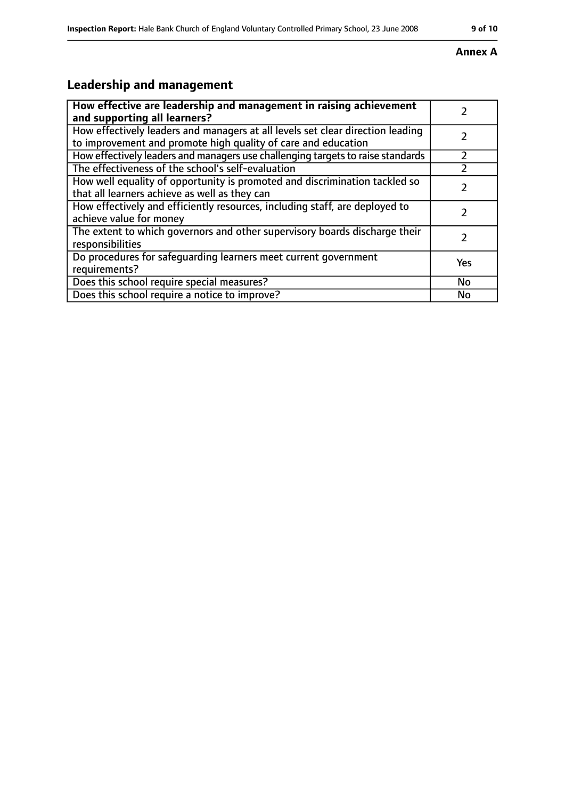### **Annex A**

# **Leadership and management**

| How effective are leadership and management in raising achievement              |     |
|---------------------------------------------------------------------------------|-----|
| and supporting all learners?                                                    |     |
| How effectively leaders and managers at all levels set clear direction leading  |     |
| to improvement and promote high quality of care and education                   |     |
| How effectively leaders and managers use challenging targets to raise standards |     |
| The effectiveness of the school's self-evaluation                               |     |
| How well equality of opportunity is promoted and discrimination tackled so      |     |
| that all learners achieve as well as they can                                   |     |
| How effectively and efficiently resources, including staff, are deployed to     | 7   |
| achieve value for money                                                         |     |
| The extent to which governors and other supervisory boards discharge their      |     |
| responsibilities                                                                |     |
| Do procedures for safequarding learners meet current government                 | Yes |
| requirements?                                                                   |     |
| Does this school require special measures?                                      | No  |
| Does this school require a notice to improve?                                   | No  |